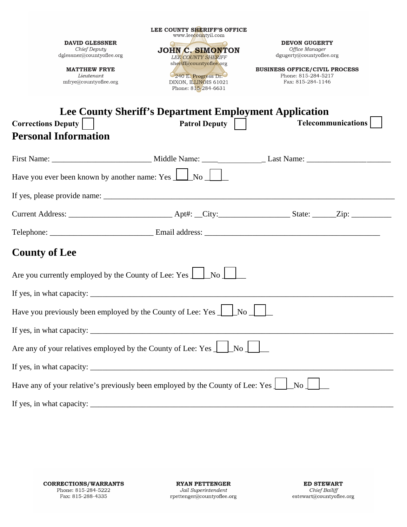| <b>DAVID GLESSNER</b><br>Chief Deputy<br>dglessner@countyoflee.org<br><b>MATTHEW FRYE</b><br>Lieutenant<br>mfrye@countyoflee.org                                                                                                                                                                              | LEE COUNTY SHERIFF'S OFFICE<br>www.leecountyil.com<br>Our and the Common Contract of the Common Contract of the Common Contract of the Common Contract of the Common Contract of the Common Contract of the Common Contract of the Common Common Common Common Common Common Common<br><b>JOHN C. SIMONTON</b><br><b>LEE COUNTY SHERIFF</b><br>sheriff@countyoflee.org<br>240 E. Progress Dr.<br>DIXON, ILLINOIS 61021<br>Phone: 815-284-6631 | <b>DEVON GUGERTY</b><br>Office Manager<br>dgugerty@countyoflee.org<br><b>BUSINESS OFFICE/CIVIL PROCESS</b><br>Phone: 815-284-5217<br>Fax: 815-284-1146 |
|---------------------------------------------------------------------------------------------------------------------------------------------------------------------------------------------------------------------------------------------------------------------------------------------------------------|-----------------------------------------------------------------------------------------------------------------------------------------------------------------------------------------------------------------------------------------------------------------------------------------------------------------------------------------------------------------------------------------------------------------------------------------------|--------------------------------------------------------------------------------------------------------------------------------------------------------|
| <b>Corrections Deputy</b><br><b>Personal Information</b>                                                                                                                                                                                                                                                      | <b>Lee County Sheriff's Department Employment Application</b><br>Patrol Deputy                                                                                                                                                                                                                                                                                                                                                                | <b>Telecommunications</b>                                                                                                                              |
|                                                                                                                                                                                                                                                                                                               |                                                                                                                                                                                                                                                                                                                                                                                                                                               |                                                                                                                                                        |
| Have you ever been known by another name: Yes $\boxed{\phantom{1}}$ No $\boxed{\phantom{1}}$                                                                                                                                                                                                                  |                                                                                                                                                                                                                                                                                                                                                                                                                                               |                                                                                                                                                        |
|                                                                                                                                                                                                                                                                                                               |                                                                                                                                                                                                                                                                                                                                                                                                                                               |                                                                                                                                                        |
|                                                                                                                                                                                                                                                                                                               |                                                                                                                                                                                                                                                                                                                                                                                                                                               |                                                                                                                                                        |
|                                                                                                                                                                                                                                                                                                               |                                                                                                                                                                                                                                                                                                                                                                                                                                               |                                                                                                                                                        |
| <b>County of Lee</b>                                                                                                                                                                                                                                                                                          |                                                                                                                                                                                                                                                                                                                                                                                                                                               |                                                                                                                                                        |
| Are you currently employed by the County of Lee: Yes <u>Laster No</u> Lee                                                                                                                                                                                                                                     |                                                                                                                                                                                                                                                                                                                                                                                                                                               |                                                                                                                                                        |
| If yes, in what capacity: $\frac{1}{2}$ $\frac{1}{2}$ $\frac{1}{2}$ $\frac{1}{2}$ $\frac{1}{2}$ $\frac{1}{2}$ $\frac{1}{2}$ $\frac{1}{2}$ $\frac{1}{2}$ $\frac{1}{2}$ $\frac{1}{2}$ $\frac{1}{2}$ $\frac{1}{2}$ $\frac{1}{2}$ $\frac{1}{2}$ $\frac{1}{2}$ $\frac{1}{2}$ $\frac{1}{2}$ $\frac{1}{2}$ $\frac{1$ |                                                                                                                                                                                                                                                                                                                                                                                                                                               |                                                                                                                                                        |
| Have you previously been employed by the County of Lee: Yes                                                                                                                                                                                                                                                   | No                                                                                                                                                                                                                                                                                                                                                                                                                                            |                                                                                                                                                        |
| If yes, in what capacity: $\frac{1}{2}$ $\frac{1}{2}$ $\frac{1}{2}$ $\frac{1}{2}$ $\frac{1}{2}$ $\frac{1}{2}$ $\frac{1}{2}$ $\frac{1}{2}$ $\frac{1}{2}$ $\frac{1}{2}$ $\frac{1}{2}$ $\frac{1}{2}$ $\frac{1}{2}$ $\frac{1}{2}$ $\frac{1}{2}$ $\frac{1}{2}$ $\frac{1}{2}$ $\frac{1}{2}$ $\frac{1}{2}$ $\frac{1$ |                                                                                                                                                                                                                                                                                                                                                                                                                                               |                                                                                                                                                        |
| Are any of your relatives employed by the County of Lee: Yes $\Box$ No $\Box$                                                                                                                                                                                                                                 |                                                                                                                                                                                                                                                                                                                                                                                                                                               |                                                                                                                                                        |
|                                                                                                                                                                                                                                                                                                               |                                                                                                                                                                                                                                                                                                                                                                                                                                               |                                                                                                                                                        |
| Have any of your relative's previously been employed by the County of Lee: Yes $\vert \quad \vert$                                                                                                                                                                                                            |                                                                                                                                                                                                                                                                                                                                                                                                                                               | No                                                                                                                                                     |
|                                                                                                                                                                                                                                                                                                               |                                                                                                                                                                                                                                                                                                                                                                                                                                               |                                                                                                                                                        |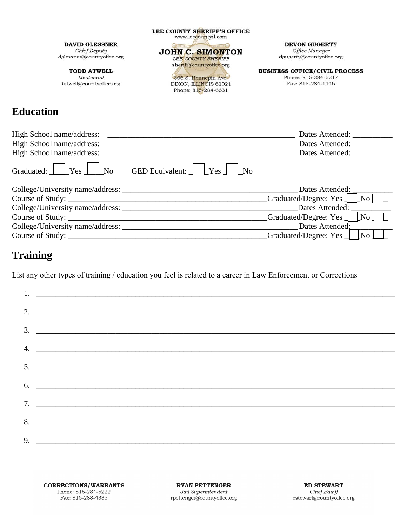| <b>DAVID GLESSNER</b><br>Chief Deputy<br>dglessner@countyoflee.org | LEE COUNTY SHERIFF'S OFFICE<br>www.leecountyil.com<br><b>JOHN C. SIMONTON</b><br><b>LEE COUNTY SHERIFF</b> | <b>DEVON GUGERTY</b><br>Office Manager<br>dgugerty@countyoflee.org               |
|--------------------------------------------------------------------|------------------------------------------------------------------------------------------------------------|----------------------------------------------------------------------------------|
| <b>TODD ATWELL</b><br>Lieutenant<br>tatwell@countyoflee.org        | sheriff@countyoflee.org<br>306 S. Hennepin Ave.<br>DIXON, ILLINOIS 61021<br>Phone: 815-284-6631            | <b>BUSINESS OFFICE/CIVIL PROCESS</b><br>Phone: 815-284-5217<br>Fax: 815-284-1146 |
| <b>Education</b>                                                   |                                                                                                            |                                                                                  |

| High School name/address: |                                                                  | Dates Attended: |
|---------------------------|------------------------------------------------------------------|-----------------|
| High School name/address: |                                                                  | Dates Attended: |
| High School name/address: |                                                                  | Dates Attended: |
|                           | Graduated: $Y$ es $\Box$ No GED Equivalent: $\Box$ Yes $\Box$ No |                 |
|                           |                                                                  |                 |

| College/University name/address: | Dates Attended:                                |
|----------------------------------|------------------------------------------------|
| Course of Study:                 | Graduated/Degree: Yes   [No]                   |
| College/University name/address: | Dates Attended:                                |
| Course of Study:                 | Graduated/Degree: Yes _ <i>_______No</i> _____ |
| College/University name/address: | Dates Attended:                                |
| Course of Study:                 | Graduated/Degree: Yes <u>  No</u>              |

## **Training**

List any other types of training / education you feel is related to a career in Law Enforcement or Corrections

| 2. $\overline{\phantom{a}}$   |
|-------------------------------|
| 3.                            |
|                               |
|                               |
|                               |
| $6.$ $\overline{\phantom{a}}$ |
|                               |
| 8.                            |
| 9. $\overline{\phantom{a}}$   |

**RYAN PETTENGER** Jail Superintendent  ${\bf rpettenger@countyoflee.org}$ 

**ED STEWART** Chief Bailiff  $\texttt{estewart}\xspace\!\!\overbrace{\textcolor{blue}{a}} \textcolor{blue}{\text{county}} \textcolor{blue}{\text{of}} \texttt{lee}.\texttt{org}$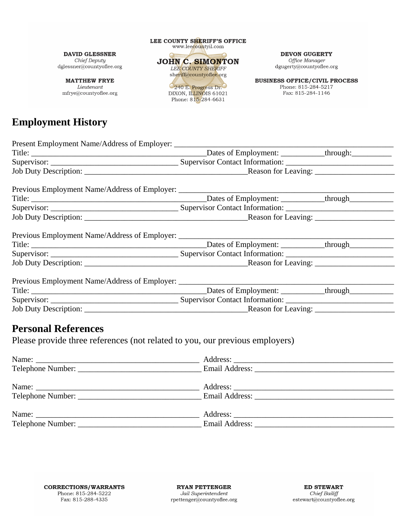**DAVID GLESSNER** Chief Deputy  $\operatorname{dglessner}\nolimits @ \text{countyoflee.org}$ 

**MATTHEW FRYE** Lieutenant mfrye@countyoflee.org

# **Employment History**

LEE COUNTY SHERIFF'S OFFICE www.leecountyil.com **JOHN C. SIMONTON** LEE COUNTY SHERIFF sheriff@countyoflee.org 240 E. Progress Dr.

DIXON, ILLINOIS 61021 Phone: 815-284-6631

**DEVON GUGERTY** 

Office Manager dgugerty@countyoflee.org

**BUSINESS OFFICE/CIVIL PROCESS** Phone: 815-284-5217 Fax: 815-284-1146

| Present Employment Name/Address of Employer:                                      |                               |  |
|-----------------------------------------------------------------------------------|-------------------------------|--|
|                                                                                   |                               |  |
|                                                                                   |                               |  |
|                                                                                   |                               |  |
| Previous Employment Name/Address of Employer: ___________________________________ |                               |  |
|                                                                                   |                               |  |
|                                                                                   |                               |  |
|                                                                                   |                               |  |
| Previous Employment Name/Address of Employer: ___________________________________ |                               |  |
|                                                                                   |                               |  |
|                                                                                   |                               |  |
|                                                                                   |                               |  |
| Previous Employment Name/Address of Employer: ___________________________________ |                               |  |
|                                                                                   |                               |  |
|                                                                                   |                               |  |
|                                                                                   | Reason for Leaving: _________ |  |

#### **Personal References**

Please provide three references (not related to you, our previous employers)

| Name: |  |
|-------|--|
|       |  |
|       |  |
| Name: |  |
|       |  |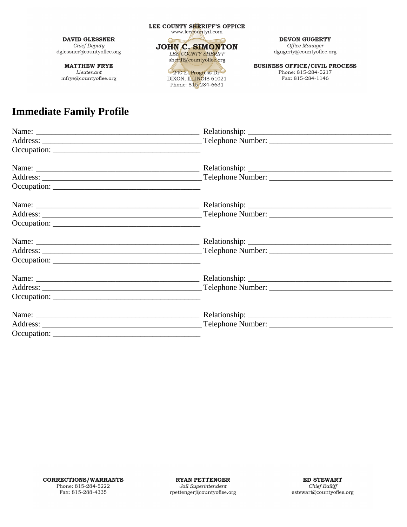**MATTHEW FRYE** Lieutenant mfrye@countyoflee.org



240 E. Progress Dr.

**DEVON GUGERTY** Office Manager  $\label{eq:degree} \operatorname{dgugerty} @ \text{countyoflee.org}$ 

**BUSINESS OFFICE/CIVIL PROCESS** Phone: 815-284-5217 Fax: 815-284-1146

## **Immediate Family Profile**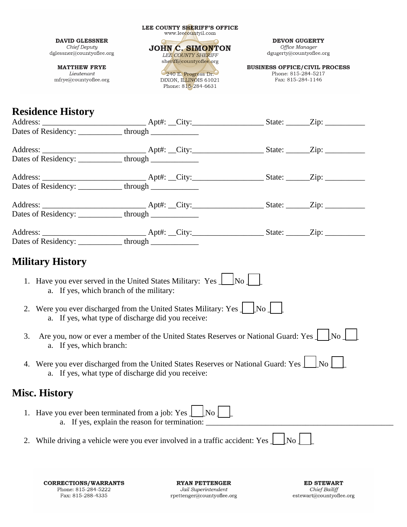|                                                                                                                               | LEE COUNTY SHERIFF'S OFFICE<br>www.leecountyil.com                                             |                         |                                                                                  |
|-------------------------------------------------------------------------------------------------------------------------------|------------------------------------------------------------------------------------------------|-------------------------|----------------------------------------------------------------------------------|
| <b>DAVID GLESSNER</b><br>Chief Deputy<br>dglessner@countyoflee.org                                                            | Outman SA Summing<br>JOHN C. SIMONTON<br><b>LEE COUNTY SHERIFF</b>                             |                         | <b>DEVON GUGERTY</b><br>Office Manager<br>dgugerty@countyoflee.org               |
| <b>MATTHEW FRYE</b><br>Lieutenant<br>mfrye@countyoflee.org                                                                    | sheriff@countyoflee.org<br>240 E. Progress Dr.<br>DIXON, ILLINOIS 61021<br>Phone: 815-284-6631 |                         | <b>BUSINESS OFFICE/CIVIL PROCESS</b><br>Phone: 815-284-5217<br>Fax: 815-284-1146 |
| <b>Residence History</b>                                                                                                      |                                                                                                |                         |                                                                                  |
| Dates of Residency: _____________through ______________                                                                       |                                                                                                |                         |                                                                                  |
|                                                                                                                               |                                                                                                |                         |                                                                                  |
| Dates of Residency: ____________through ______________                                                                        |                                                                                                |                         |                                                                                  |
| Dates of Residency: ___________through ___________                                                                            |                                                                                                |                         |                                                                                  |
| Dates of Residency: ____________through ______________                                                                        |                                                                                                |                         |                                                                                  |
| <b>Military History</b>                                                                                                       |                                                                                                |                         |                                                                                  |
| 1. Have you ever served in the United States Military: Yes $\Box$ No $\Box$<br>a. If yes, which branch of the military:       |                                                                                                |                         |                                                                                  |
| 2. Were you ever discharged from the United States Military: Yes $\Box$<br>a. If yes, what type of discharge did you receive: |                                                                                                | $\lfloor N_{0} \rfloor$ |                                                                                  |
| 3.<br>a. If yes, which branch:                                                                                                | Are you, now or ever a member of the United States Reserves or National Guard: Yes             |                         | $\overline{N_0}$                                                                 |
| 4.<br>a. If yes, what type of discharge did you receive:                                                                      | Were you ever discharged from the United States Reserves or National Guard: Yes $\perp$        |                         | $\mid$ No $\mid$                                                                 |
| <b>Misc. History</b>                                                                                                          |                                                                                                |                         |                                                                                  |
| 1. Have you ever been terminated from a job: Yes $\perp$                                                                      | $\vert$ No $\vert$ $\vert$<br>a. If yes, explain the reason for termination:                   |                         |                                                                                  |
|                                                                                                                               | While driving a vehicle were you ever involved in a traffic accident: Yes                      | No                      |                                                                                  |

**CORRECTIONS/WARRANTS** Phone: 815-284-5222 Fax: 815-288-4335

**RYAN PETTENGER** Jail Superintendent  ${\bf rpettenger@countyoflee.org}$ 

**ED STEWART** Chief Bailiff<br>estewart@countyoflee.org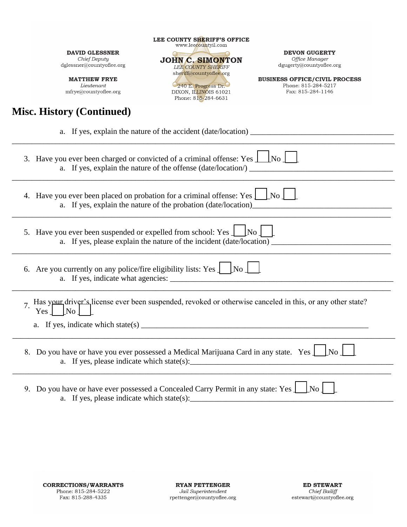**MATTHEW FRYE** Lieutenant  $\operatorname{mfryeq}$ countyoflee.org

## **Misc. History (Continued)**

www.leecountyil.com JOHN C. SIMONTON LEE COUNTY SHERIFF<br>sheriff@countyoflee.org

LEE COUNTY SHERIFF'S OFFICE

240 E. Progress Dr. DIXON, ILLINOIS 61021<br>Phone: 815-284-6631 **DEVON GUGERTY** 

Office Manager dgugerty@countyoflee.org

**BUSINESS OFFICE/CIVIL PROCESS** Phone: 815-284-5217 Fax: 815-284-1146

| $\lfloor$ No $\rfloor$ $\lfloor$<br>3. Have you ever been charged or convicted of a criminal offense: Yes $\perp$<br>a. If yes, explain the nature of the offense (date/location/) __ |
|---------------------------------------------------------------------------------------------------------------------------------------------------------------------------------------|
| 4. Have you ever been placed on probation for a criminal offense: Yes $\vert$ [No $\vert$ ]<br>a. If yes, explain the nature of the probation (date/location)                         |
| 5. Have you ever been suspended or expelled from school: Yes $\perp$ [No ] [                                                                                                          |
| 6. Are you currently on any police/fire eligibility lists: Yes $\int$ [No $\int$ [No $\int$                                                                                           |
| Has your driver's license ever been suspended, revoked or otherwise canceled in this, or any other state?<br>$\overline{7}$ .<br>Yes<br> No                                           |
| 8. Do you have or have you ever possessed a Medical Marijuana Card in any state. Yes LA No L                                                                                          |
| 9. Do you have or have ever possessed a Concealed Carry Permit in any state: Yes<br>No <sub>1</sub>                                                                                   |

a. If yes, please indicate which state(s):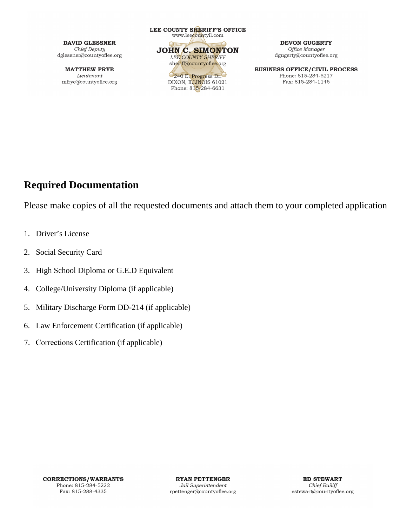**MATTHEW FRYE** Lieutenant mfrye@countyoflee.org LEE COUNTY SHERIFF'S OFFICE www.leecountyil.com **JOHN C. SIMONTON LEE COUNTY SHERIFF** sheriff@countyoflee.org

240 E. Progress Dr. DIXON, ILLINOIS 61021 Phone: 815-284-6631

**DEVON GUGERTY** Office Manager  $\mbox{dgugerty@countyoflee.org}$ 

**BUSINESS OFFICE/CIVIL PROCESS** Phone: 815-284-5217 Fax: 815-284-1146

### **Required Documentation**

Please make copies of all the requested documents and attach them to your completed application

- 1. Driver's License
- 2. Social Security Card
- 3. High School Diploma or G.E.D Equivalent
- 4. College/University Diploma (if applicable)
- 5. Military Discharge Form DD-214 (if applicable)
- 6. Law Enforcement Certification (if applicable)
- 7. Corrections Certification (if applicable)